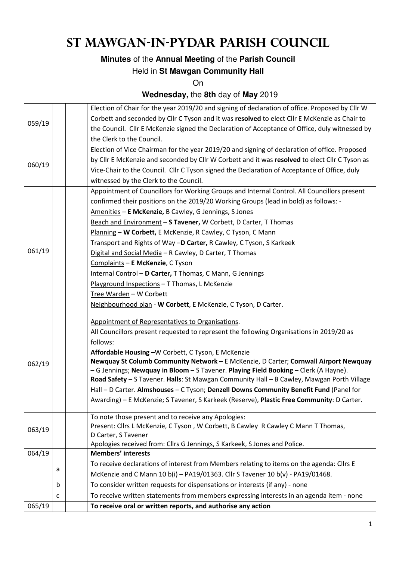## **St Mawgan-in-Pydar Parish Council**

### **Minutes** of the **Annual Meeting** of the **Parish Council**

#### Held in **St Mawgan Community Hall**

On

### **Wednesday,** the **8th** day of **May** 2019

| 065/19 |   | To receive oral or written reports, and authorise any action                                                                                                                                                                                                                                                                                                                                                                                                                                                                                                                                                                                                                                                                                                     |  |  |
|--------|---|------------------------------------------------------------------------------------------------------------------------------------------------------------------------------------------------------------------------------------------------------------------------------------------------------------------------------------------------------------------------------------------------------------------------------------------------------------------------------------------------------------------------------------------------------------------------------------------------------------------------------------------------------------------------------------------------------------------------------------------------------------------|--|--|
|        | C | To receive written statements from members expressing interests in an agenda item - none                                                                                                                                                                                                                                                                                                                                                                                                                                                                                                                                                                                                                                                                         |  |  |
|        | b | To consider written requests for dispensations or interests (if any) - none                                                                                                                                                                                                                                                                                                                                                                                                                                                                                                                                                                                                                                                                                      |  |  |
|        | a | McKenzie and C Mann 10 b(i) - PA19/01363. Cllr S Tavener 10 b(v) - PA19/01468.                                                                                                                                                                                                                                                                                                                                                                                                                                                                                                                                                                                                                                                                                   |  |  |
|        |   | To receive declarations of interest from Members relating to items on the agenda: Cllrs E                                                                                                                                                                                                                                                                                                                                                                                                                                                                                                                                                                                                                                                                        |  |  |
| 064/19 |   | <b>Members' interests</b>                                                                                                                                                                                                                                                                                                                                                                                                                                                                                                                                                                                                                                                                                                                                        |  |  |
| 063/19 |   | To note those present and to receive any Apologies:<br>Present: Cllrs L McKenzie, C Tyson, W Corbett, B Cawley R Cawley C Mann T Thomas,<br>D Carter, S Tavener<br>Apologies received from: Cllrs G Jennings, S Karkeek, S Jones and Police.                                                                                                                                                                                                                                                                                                                                                                                                                                                                                                                     |  |  |
| 062/19 |   | Appointment of Representatives to Organisations.<br>All Councillors present requested to represent the following Organisations in 2019/20 as<br>follows:<br>Affordable Housing -W Corbett, C Tyson, E McKenzie<br>Newquay St Columb Community Network - E McKenzie, D Carter; Cornwall Airport Newquay<br>- G Jennings; Newquay in Bloom - S Tavener. Playing Field Booking - Clerk (A Hayne).<br>Road Safety - S Tavener. Halls: St Mawgan Community Hall - B Cawley, Mawgan Porth Village<br>Hall - D Carter. Almshouses - C Tyson; Denzell Downs Community Benefit Fund (Panel for<br>Awarding) - E McKenzie; S Tavener, S Karkeek (Reserve), Plastic Free Community: D Carter.                                                                               |  |  |
| 061/19 |   | Appointment of Councillors for Working Groups and Internal Control. All Councillors present<br>confirmed their positions on the 2019/20 Working Groups (lead in bold) as follows: -<br>Amenities - E McKenzie, B Cawley, G Jennings, S Jones<br>Beach and Environment - S Tavener, W Corbett, D Carter, T Thomas<br>Planning - W Corbett, E McKenzie, R Cawley, C Tyson, C Mann<br>Transport and Rights of Way -D Carter, R Cawley, C Tyson, S Karkeek<br>Digital and Social Media - R Cawley, D Carter, T Thomas<br>Complaints - E McKenzie, C Tyson<br>Internal Control - D Carter, T Thomas, C Mann, G Jennings<br>Playground Inspections - T Thomas, L McKenzie<br>Tree Warden - W Corbett<br>Neighbourhood plan - W Corbett, E McKenzie, C Tyson, D Carter. |  |  |
| 060/19 |   | Election of Vice Chairman for the year 2019/20 and signing of declaration of office. Proposed<br>by Cllr E McKenzie and seconded by Cllr W Corbett and it was resolved to elect Cllr C Tyson as<br>Vice-Chair to the Council. Cllr C Tyson signed the Declaration of Acceptance of Office, duly<br>witnessed by the Clerk to the Council.                                                                                                                                                                                                                                                                                                                                                                                                                        |  |  |
| 059/19 |   | Election of Chair for the year 2019/20 and signing of declaration of office. Proposed by Cllr W<br>Corbett and seconded by Cllr C Tyson and it was resolved to elect Cllr E McKenzie as Chair to<br>the Council. Cllr E McKenzie signed the Declaration of Acceptance of Office, duly witnessed by<br>the Clerk to the Council.                                                                                                                                                                                                                                                                                                                                                                                                                                  |  |  |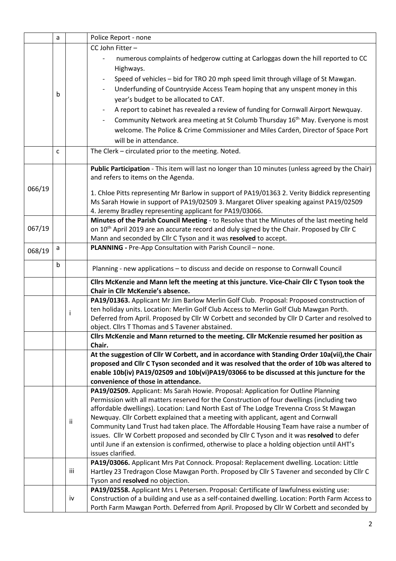|        | a            |     | Police Report - none                                                                                   |  |  |  |
|--------|--------------|-----|--------------------------------------------------------------------------------------------------------|--|--|--|
|        |              |     | CC John Fitter-                                                                                        |  |  |  |
|        |              |     | numerous complaints of hedgerow cutting at Carloggas down the hill reported to CC                      |  |  |  |
|        |              |     | Highways.                                                                                              |  |  |  |
|        |              |     | Speed of vehicles - bid for TRO 20 mph speed limit through village of St Mawgan.                       |  |  |  |
|        |              |     | Underfunding of Countryside Access Team hoping that any unspent money in this                          |  |  |  |
|        | b            |     |                                                                                                        |  |  |  |
|        |              |     | year's budget to be allocated to CAT.                                                                  |  |  |  |
|        |              |     | A report to cabinet has revealed a review of funding for Cornwall Airport Newquay.                     |  |  |  |
|        |              |     | Community Network area meeting at St Columb Thursday 16 <sup>th</sup> May. Everyone is most            |  |  |  |
|        |              |     | welcome. The Police & Crime Commissioner and Miles Carden, Director of Space Port                      |  |  |  |
|        |              |     | will be in attendance.                                                                                 |  |  |  |
|        | $\mathsf{C}$ |     | The Clerk - circulated prior to the meeting. Noted.                                                    |  |  |  |
|        |              |     | Public Participation - This item will last no longer than 10 minutes (unless agreed by the Chair)      |  |  |  |
|        |              |     | and refers to items on the Agenda.                                                                     |  |  |  |
|        |              |     |                                                                                                        |  |  |  |
| 066/19 |              |     | 1. Chloe Pitts representing Mr Barlow in support of PA19/01363 2. Verity Biddick representing          |  |  |  |
|        |              |     | Ms Sarah Howie in support of PA19/02509 3. Margaret Oliver speaking against PA19/02509                 |  |  |  |
|        |              |     | 4. Jeremy Bradley representing applicant for PA19/03066.                                               |  |  |  |
|        |              |     | Minutes of the Parish Council Meeting - to Resolve that the Minutes of the last meeting held           |  |  |  |
| 067/19 |              |     | on 10 <sup>th</sup> April 2019 are an accurate record and duly signed by the Chair. Proposed by Cllr C |  |  |  |
|        |              |     | Mann and seconded by Cllr C Tyson and it was resolved to accept.                                       |  |  |  |
| 068/19 | a            |     | PLANNING - Pre-App Consultation with Parish Council - none.                                            |  |  |  |
|        | b            |     |                                                                                                        |  |  |  |
|        |              |     | Planning - new applications - to discuss and decide on response to Cornwall Council                    |  |  |  |
|        |              |     | Cllrs McKenzie and Mann left the meeting at this juncture. Vice-Chair Cllr C Tyson took the            |  |  |  |
|        |              |     | Chair in Cllr McKenzie's absence.                                                                      |  |  |  |
|        |              |     | PA19/01363. Applicant Mr Jim Barlow Merlin Golf Club. Proposal: Proposed construction of               |  |  |  |
|        |              | Ť   | ten holiday units. Location: Merlin Golf Club Access to Merlin Golf Club Mawgan Porth.                 |  |  |  |
|        |              |     | Deferred from April. Proposed by Cllr W Corbett and seconded by Cllr D Carter and resolved to          |  |  |  |
|        |              |     | object. Cllrs T Thomas and S Tavener abstained.                                                        |  |  |  |
|        |              |     | Cllrs McKenzie and Mann returned to the meeting. Cllr McKenzie resumed her position as<br>Chair.       |  |  |  |
|        |              |     | At the suggestion of Cllr W Corbett, and in accordance with Standing Order 10a(vii), the Chair         |  |  |  |
|        |              |     | proposed and Cllr C Tyson seconded and it was resolved that the order of 10b was altered to            |  |  |  |
|        |              |     | enable 10b(iv) PA19/02509 and 10b(vi)PA19/03066 to be discussed at this juncture for the               |  |  |  |
|        |              |     | convenience of those in attendance.                                                                    |  |  |  |
|        |              |     | PA19/02509. Applicant: Ms Sarah Howie. Proposal: Application for Outline Planning                      |  |  |  |
|        |              |     | Permission with all matters reserved for the Construction of four dwellings (including two             |  |  |  |
|        |              |     | affordable dwellings). Location: Land North East of The Lodge Trevenna Cross St Mawgan                 |  |  |  |
|        |              |     | Newquay. Cllr Corbett explained that a meeting with applicant, agent and Cornwall                      |  |  |  |
|        |              | ij. | Community Land Trust had taken place. The Affordable Housing Team have raise a number of               |  |  |  |
|        |              |     | issues. Cllr W Corbett proposed and seconded by Cllr C Tyson and it was resolved to defer              |  |  |  |
|        |              |     | until June if an extension is confirmed, otherwise to place a holding objection until AHT's            |  |  |  |
|        |              |     | issues clarified.                                                                                      |  |  |  |
|        |              |     | PA19/03066. Applicant Mrs Pat Connock. Proposal: Replacement dwelling. Location: Little                |  |  |  |
|        |              | iii | Hartley 23 Tredragon Close Mawgan Porth. Proposed by Cllr S Tavener and seconded by Cllr C             |  |  |  |
|        |              |     | Tyson and resolved no objection.                                                                       |  |  |  |
|        |              |     | PA19/02558. Applicant Mrs L Petersen. Proposal: Certificate of lawfulness existing use:                |  |  |  |
|        |              | iv  | Construction of a building and use as a self-contained dwelling. Location: Porth Farm Access to        |  |  |  |
|        |              |     | Porth Farm Mawgan Porth. Deferred from April. Proposed by Cllr W Corbett and seconded by               |  |  |  |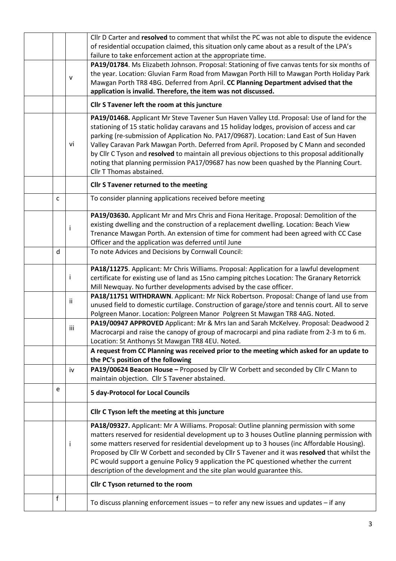|                                                                |   |     | Cllr D Carter and resolved to comment that whilst the PC was not able to dispute the evidence   |  |  |
|----------------------------------------------------------------|---|-----|-------------------------------------------------------------------------------------------------|--|--|
|                                                                |   |     | of residential occupation claimed, this situation only came about as a result of the LPA's      |  |  |
|                                                                |   |     | failure to take enforcement action at the appropriate time.                                     |  |  |
|                                                                |   |     | PA19/01784. Ms Elizabeth Johnson. Proposal: Stationing of five canvas tents for six months of   |  |  |
|                                                                |   |     | the year. Location: Gluvian Farm Road from Mawgan Porth Hill to Mawgan Porth Holiday Park       |  |  |
|                                                                |   | v   | Mawgan Porth TR8 4BG. Deferred from April. CC Planning Department advised that the              |  |  |
| application is invalid. Therefore, the item was not discussed. |   |     |                                                                                                 |  |  |
|                                                                |   |     | Cllr S Tavener left the room at this juncture                                                   |  |  |
|                                                                |   |     | PA19/01468. Applicant Mr Steve Tavener Sun Haven Valley Ltd. Proposal: Use of land for the      |  |  |
|                                                                |   |     | stationing of 15 static holiday caravans and 15 holiday lodges, provision of access and car     |  |  |
|                                                                |   |     | parking (re-submission of Application No. PA17/09687). Location: Land East of Sun Haven         |  |  |
|                                                                |   | vi  | Valley Caravan Park Mawgan Porth. Deferred from April. Proposed by C Mann and seconded          |  |  |
|                                                                |   |     | by Cllr C Tyson and resolved to maintain all previous objections to this proposal additionally  |  |  |
|                                                                |   |     | noting that planning permission PA17/09687 has now been quashed by the Planning Court.          |  |  |
|                                                                |   |     | Cllr T Thomas abstained.                                                                        |  |  |
|                                                                |   |     | Cllr S Tavener returned to the meeting                                                          |  |  |
|                                                                | C |     | To consider planning applications received before meeting                                       |  |  |
|                                                                |   |     |                                                                                                 |  |  |
|                                                                |   |     | PA19/03630. Applicant Mr and Mrs Chris and Fiona Heritage. Proposal: Demolition of the          |  |  |
|                                                                |   | j.  | existing dwelling and the construction of a replacement dwelling. Location: Beach View          |  |  |
|                                                                |   |     | Trenance Mawgan Porth. An extension of time for comment had been agreed with CC Case            |  |  |
|                                                                |   |     | Officer and the application was deferred until June                                             |  |  |
|                                                                | d |     | To note Advices and Decisions by Cornwall Council:                                              |  |  |
|                                                                |   |     | PA18/11275. Applicant: Mr Chris Williams. Proposal: Application for a lawful development        |  |  |
|                                                                |   | Ť   | certificate for existing use of land as 15no camping pitches Location: The Granary Retorrick    |  |  |
|                                                                |   |     | Mill Newquay. No further developments advised by the case officer.                              |  |  |
|                                                                |   |     | PA18/11751 WITHDRAWN. Applicant: Mr Nick Robertson. Proposal: Change of land use from           |  |  |
|                                                                |   | ii  | unused field to domestic curtilage. Construction of garage/store and tennis court. All to serve |  |  |
|                                                                |   |     | Polgreen Manor. Location: Polgreen Manor Polgreen St Mawgan TR8 4AG. Noted.                     |  |  |
|                                                                |   |     | PA19/00947 APPROVED Applicant: Mr & Mrs Ian and Sarah McKelvey. Proposal: Deadwood 2            |  |  |
|                                                                |   | iii | Macrocarpi and raise the canopy of group of macrocarpi and pina radiate from 2-3 m to 6 m.      |  |  |
|                                                                |   |     | Location: St Anthonys St Mawgan TR8 4EU. Noted.                                                 |  |  |
|                                                                |   |     | A request from CC Planning was received prior to the meeting which asked for an update to       |  |  |
|                                                                |   |     | the PC's position of the following                                                              |  |  |
|                                                                |   | iv  | PA19/00624 Beacon House - Proposed by Cllr W Corbett and seconded by Cllr C Mann to             |  |  |
|                                                                |   |     | maintain objection. Cllr S Tavener abstained.                                                   |  |  |
|                                                                |   |     |                                                                                                 |  |  |
|                                                                | e |     | <b>5 day-Protocol for Local Councils</b>                                                        |  |  |
|                                                                |   |     | Cllr C Tyson left the meeting at this juncture                                                  |  |  |
|                                                                |   |     | PA18/09327. Applicant: Mr A Williams. Proposal: Outline planning permission with some           |  |  |
|                                                                |   |     | matters reserved for residential development up to 3 houses Outline planning permission with    |  |  |
|                                                                |   | ÷   | some matters reserved for residential development up to 3 houses (inc Affordable Housing).      |  |  |
|                                                                |   |     | Proposed by Cllr W Corbett and seconded by Cllr S Tavener and it was resolved that whilst the   |  |  |
|                                                                |   |     | PC would support a genuine Policy 9 application the PC questioned whether the current           |  |  |
|                                                                |   |     | description of the development and the site plan would guarantee this.                          |  |  |
|                                                                |   |     | Cllr C Tyson returned to the room                                                               |  |  |
|                                                                | f |     |                                                                                                 |  |  |
|                                                                |   |     | To discuss planning enforcement issues - to refer any new issues and updates - if any           |  |  |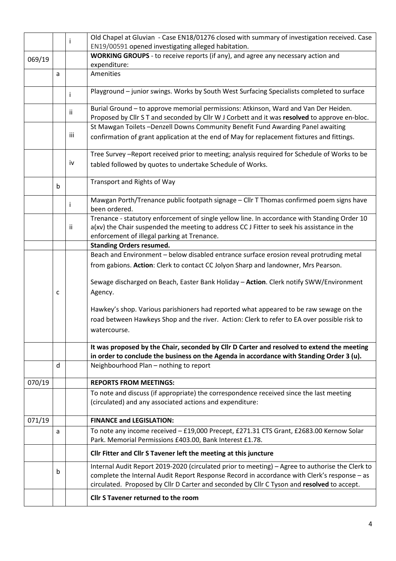|        |   | Ť   | Old Chapel at Gluvian - Case EN18/01276 closed with summary of investigation received. Case     |
|--------|---|-----|-------------------------------------------------------------------------------------------------|
|        |   |     | EN19/00591 opened investigating alleged habitation.                                             |
| 069/19 |   |     | WORKING GROUPS - to receive reports (if any), and agree any necessary action and                |
|        |   |     | expenditure:<br>Amenities                                                                       |
|        | a |     |                                                                                                 |
|        |   | i.  | Playground - junior swings. Works by South West Surfacing Specialists completed to surface      |
|        |   |     | Burial Ground - to approve memorial permissions: Atkinson, Ward and Van Der Heiden.             |
|        |   | ii. | Proposed by Cllr S T and seconded by Cllr W J Corbett and it was resolved to approve en-bloc.   |
|        |   |     | St Mawgan Toilets-Denzell Downs Community Benefit Fund Awarding Panel awaiting                  |
|        |   | iii | confirmation of grant application at the end of May for replacement fixtures and fittings.      |
|        |   |     | Tree Survey -Report received prior to meeting; analysis required for Schedule of Works to be    |
|        |   | iv  | tabled followed by quotes to undertake Schedule of Works.                                       |
|        | b |     | Transport and Rights of Way                                                                     |
|        |   |     | Mawgan Porth/Trenance public footpath signage - Cllr T Thomas confirmed poem signs have         |
|        |   | i.  | been ordered.                                                                                   |
|        |   |     | Trenance - statutory enforcement of single yellow line. In accordance with Standing Order 10    |
|        |   | ij. | a(xv) the Chair suspended the meeting to address CC J Fitter to seek his assistance in the      |
|        |   |     | enforcement of illegal parking at Trenance.                                                     |
|        |   |     | <b>Standing Orders resumed.</b>                                                                 |
|        |   |     | Beach and Environment - below disabled entrance surface erosion reveal protruding metal         |
|        |   |     | from gabions. Action: Clerk to contact CC Jolyon Sharp and landowner, Mrs Pearson.              |
|        |   |     | Sewage discharged on Beach, Easter Bank Holiday - Action. Clerk notify SWW/Environment          |
|        | C |     | Agency.                                                                                         |
|        |   |     |                                                                                                 |
|        |   |     | Hawkey's shop. Various parishioners had reported what appeared to be raw sewage on the          |
|        |   |     | road between Hawkeys Shop and the river. Action: Clerk to refer to EA over possible risk to     |
|        |   |     | watercourse.                                                                                    |
|        |   |     | It was proposed by the Chair, seconded by Cllr D Carter and resolved to extend the meeting      |
|        |   |     | in order to conclude the business on the Agenda in accordance with Standing Order 3 (u).        |
|        | d |     | Neighbourhood Plan - nothing to report                                                          |
| 070/19 |   |     | <b>REPORTS FROM MEETINGS:</b>                                                                   |
|        |   |     | To note and discuss (if appropriate) the correspondence received since the last meeting         |
|        |   |     | (circulated) and any associated actions and expenditure:                                        |
| 071/19 |   |     | <b>FINANCE and LEGISLATION:</b>                                                                 |
|        | a |     | To note any income received - £19,000 Precept, £271.31 CTS Grant, £2683.00 Kernow Solar         |
|        |   |     | Park. Memorial Permissions £403.00, Bank Interest £1.78.                                        |
|        |   |     | Cllr Fitter and Cllr S Tavener left the meeting at this juncture                                |
|        | b |     | Internal Audit Report 2019-2020 (circulated prior to meeting) - Agree to authorise the Clerk to |
|        |   |     | complete the Internal Audit Report Response Record in accordance with Clerk's response - as     |
|        |   |     | circulated. Proposed by Cllr D Carter and seconded by Cllr C Tyson and resolved to accept.      |
|        |   |     | Cllr S Tavener returned to the room                                                             |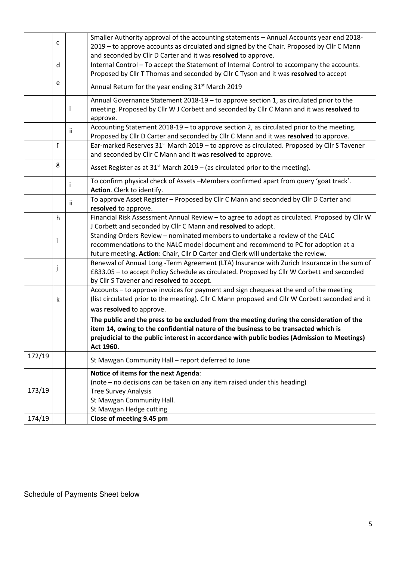|        |   |     | Smaller Authority approval of the accounting statements - Annual Accounts year end 2018-                                                                                                                                              |  |
|--------|---|-----|---------------------------------------------------------------------------------------------------------------------------------------------------------------------------------------------------------------------------------------|--|
|        | C |     | 2019 - to approve accounts as circulated and signed by the Chair. Proposed by Cllr C Mann                                                                                                                                             |  |
|        |   |     | and seconded by Cllr D Carter and it was resolved to approve.                                                                                                                                                                         |  |
|        | d |     | Internal Control - To accept the Statement of Internal Control to accompany the accounts.                                                                                                                                             |  |
|        |   |     | Proposed by Cllr T Thomas and seconded by Cllr C Tyson and it was resolved to accept                                                                                                                                                  |  |
|        | e |     | Annual Return for the year ending 31 <sup>st</sup> March 2019                                                                                                                                                                         |  |
|        |   | Ť   | Annual Governance Statement 2018-19 - to approve section 1, as circulated prior to the<br>meeting. Proposed by Cllr W J Corbett and seconded by Cllr C Mann and it was resolved to<br>approve.                                        |  |
|        |   | ii. | Accounting Statement 2018-19 - to approve section 2, as circulated prior to the meeting.<br>Proposed by Cllr D Carter and seconded by Cllr C Mann and it was resolved to approve.                                                     |  |
|        | f |     | Ear-marked Reserves 31 <sup>st</sup> March 2019 - to approve as circulated. Proposed by Cllr S Tavener                                                                                                                                |  |
|        |   |     | and seconded by Cllr C Mann and it was resolved to approve.                                                                                                                                                                           |  |
|        | g |     |                                                                                                                                                                                                                                       |  |
|        |   |     | Asset Register as at $31^{st}$ March 2019 – (as circulated prior to the meeting).                                                                                                                                                     |  |
|        |   | Ť   | To confirm physical check of Assets - Members confirmed apart from query 'goat track'.<br>Action. Clerk to identify.                                                                                                                  |  |
|        |   | ij. | To approve Asset Register - Proposed by Cllr C Mann and seconded by Cllr D Carter and                                                                                                                                                 |  |
|        |   |     | resolved to approve.                                                                                                                                                                                                                  |  |
|        | h |     | Financial Risk Assessment Annual Review - to agree to adopt as circulated. Proposed by Cllr W                                                                                                                                         |  |
|        |   |     | J Corbett and seconded by Cllr C Mann and resolved to adopt.                                                                                                                                                                          |  |
|        |   |     | Standing Orders Review - nominated members to undertake a review of the CALC                                                                                                                                                          |  |
|        |   |     | recommendations to the NALC model document and recommend to PC for adoption at a                                                                                                                                                      |  |
|        |   |     | future meeting. Action: Chair, Cllr D Carter and Clerk will undertake the review.                                                                                                                                                     |  |
|        | J |     | Renewal of Annual Long -Term Agreement (LTA) Insurance with Zurich Insurance in the sum of<br>£833.05 - to accept Policy Schedule as circulated. Proposed by Cllr W Corbett and seconded<br>by Cllr S Tavener and resolved to accept. |  |
|        |   |     | Accounts - to approve invoices for payment and sign cheques at the end of the meeting                                                                                                                                                 |  |
|        | k |     | (list circulated prior to the meeting). Cllr C Mann proposed and Cllr W Corbett seconded and it                                                                                                                                       |  |
|        |   |     | was resolved to approve.                                                                                                                                                                                                              |  |
|        |   |     | The public and the press to be excluded from the meeting during the consideration of the                                                                                                                                              |  |
|        |   |     | item 14, owing to the confidential nature of the business to be transacted which is                                                                                                                                                   |  |
|        |   |     | prejudicial to the public interest in accordance with public bodies (Admission to Meetings)                                                                                                                                           |  |
|        |   |     | Act 1960.                                                                                                                                                                                                                             |  |
| 172/19 |   |     | St Mawgan Community Hall - report deferred to June                                                                                                                                                                                    |  |
|        |   |     | Notice of items for the next Agenda:                                                                                                                                                                                                  |  |
|        |   |     | (note – no decisions can be taken on any item raised under this heading)                                                                                                                                                              |  |
| 173/19 |   |     | <b>Tree Survey Analysis</b>                                                                                                                                                                                                           |  |
|        |   |     | St Mawgan Community Hall.                                                                                                                                                                                                             |  |
|        |   |     | St Mawgan Hedge cutting                                                                                                                                                                                                               |  |
| 174/19 |   |     | Close of meeting 9.45 pm                                                                                                                                                                                                              |  |

Schedule of Payments Sheet below